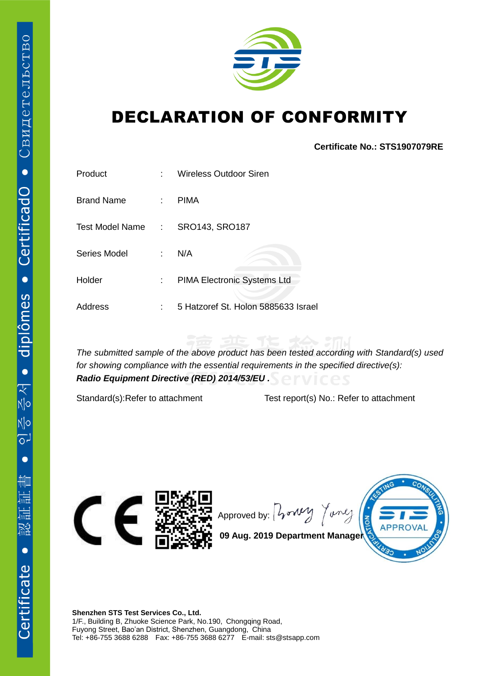

## DECLARATION OF CONFORMITY

**Certificate No.: STS1907079RE**

| Product           | ٠  | <b>Wireless Outdoor Siren</b>       |
|-------------------|----|-------------------------------------|
| <b>Brand Name</b> | ÷. | <b>PIMA</b>                         |
| Test Model Name:  |    | SRO143, SRO187                      |
| Series Model      | ÷  | N/A                                 |
| Holder            | ÷. | PIMA Electronic Systems Ltd         |
| Address           | ٠  | 5 Hatzoref St. Holon 5885633 Israel |

*The submitted sample of the above product has been tested according with Standard(s) used for showing compliance with the essential requirements in the specified directive(s): Radio Equipment Directive (RED) 2014/53/EU .*

Standard(s):Refer to attachment Test report(s) No.: Refer to attachment



Approved by:  $\int \sqrt{v^2 + v^2}$ Tonle



**09 Aug. 2019 Department Manager**

**Shenzhen STS Test Services Co., Ltd.** 1/F., Building B, Zhuoke Science Park, No.190, Chongqing Road, Fuyong Street, Bao'an District, Shenzhen, Guangdong, China Tel: +86-755 3688 6288 Fax: +86-755 3688 6277 E-mail: sts@stsapp.com